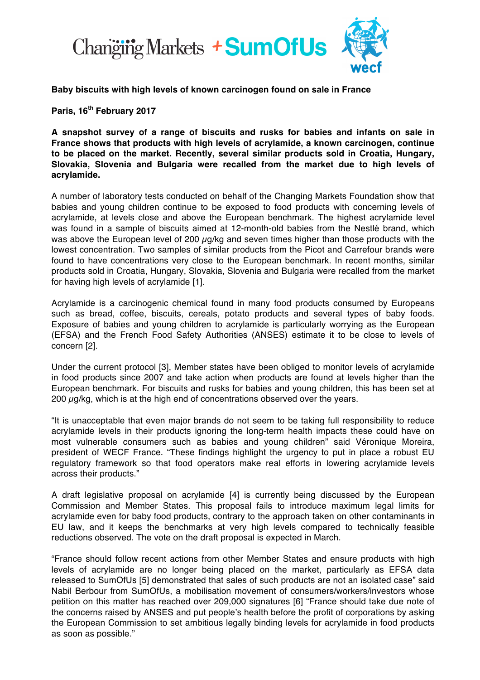

**Baby biscuits with high levels of known carcinogen found on sale in France**

**Paris, 16th February 2017**

**A snapshot survey of a range of biscuits and rusks for babies and infants on sale in France shows that products with high levels of acrylamide, a known carcinogen, continue to be placed on the market. Recently, several similar products sold in Croatia, Hungary, Slovakia, Slovenia and Bulgaria were recalled from the market due to high levels of acrylamide.**

A number of laboratory tests conducted on behalf of the Changing Markets Foundation show that babies and young children continue to be exposed to food products with concerning levels of acrylamide, at levels close and above the European benchmark. The highest acrylamide level was found in a sample of biscuits aimed at 12-month-old babies from the Nestlé brand, which was above the European level of 200  $\mu$ g/kg and seven times higher than those products with the lowest concentration. Two samples of similar products from the Picot and Carrefour brands were found to have concentrations very close to the European benchmark. In recent months, similar products sold in Croatia, Hungary, Slovakia, Slovenia and Bulgaria were recalled from the market for having high levels of acrylamide [1].

Acrylamide is a carcinogenic chemical found in many food products consumed by Europeans such as bread, coffee, biscuits, cereals, potato products and several types of baby foods. Exposure of babies and young children to acrylamide is particularly worrying as the European (EFSA) and the French Food Safety Authorities (ANSES) estimate it to be close to levels of concern [2].

Under the current protocol [3], Member states have been obliged to monitor levels of acrylamide in food products since 2007 and take action when products are found at levels higher than the European benchmark. For biscuits and rusks for babies and young children, this has been set at 200  $\mu$ g/kg, which is at the high end of concentrations observed over the years.

"It is unacceptable that even major brands do not seem to be taking full responsibility to reduce acrylamide levels in their products ignoring the long-term health impacts these could have on most vulnerable consumers such as babies and young children" said Véronique Moreira, president of WECF France. "These findings highlight the urgency to put in place a robust EU regulatory framework so that food operators make real efforts in lowering acrylamide levels across their products."

A draft legislative proposal on acrylamide [4] is currently being discussed by the European Commission and Member States. This proposal fails to introduce maximum legal limits for acrylamide even for baby food products, contrary to the approach taken on other contaminants in EU law, and it keeps the benchmarks at very high levels compared to technically feasible reductions observed. The vote on the draft proposal is expected in March.

"France should follow recent actions from other Member States and ensure products with high levels of acrylamide are no longer being placed on the market, particularly as EFSA data released to SumOfUs [5] demonstrated that sales of such products are not an isolated case" said Nabil Berbour from SumOfUs, a mobilisation movement of consumers/workers/investors whose petition on this matter has reached over 209,000 signatures [6] "France should take due note of the concerns raised by ANSES and put people's health before the profit of corporations by asking the European Commission to set ambitious legally binding levels for acrylamide in food products as soon as possible."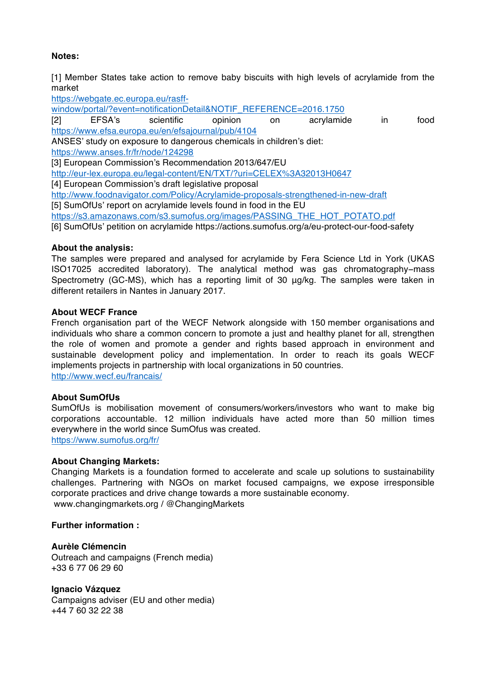# **Notes:**

[1] Member States take action to remove baby biscuits with high levels of acrylamide from the market

https://webgate.ec.europa.eu/rasff-

window/portal/?event=notificationDetail&NOTIF\_REFERENCE=2016.1750

[2] EFSA's scientific opinion on acrylamide in food https://www.efsa.europa.eu/en/efsajournal/pub/4104 ANSES' study on exposure to dangerous chemicals in children's diet: https://www.anses.fr/fr/node/124298

[3] European Commission's Recommendation 2013/647/EU

http://eur-lex.europa.eu/legal-content/EN/TXT/?uri=CELEX%3A32013H0647

[4] European Commission's draft legislative proposal

http://www.foodnavigator.com/Policy/Acrylamide-proposals-strengthened-in-new-draft

[5] SumOfUs' report on acrylamide levels found in food in the EU

https://s3.amazonaws.com/s3.sumofus.org/images/PASSING\_THE\_HOT\_POTATO.pdf

[6] SumOfUs' petition on acrylamide https://actions.sumofus.org/a/eu-protect-our-food-safety

## **About the analysis:**

The samples were prepared and analysed for acrylamide by Fera Science Ltd in York (UKAS ISO17025 accredited laboratory). The analytical method was gas chromatography−mass Spectrometry (GC-MS), which has a reporting limit of 30 μg/kg. The samples were taken in different retailers in Nantes in January 2017.

### **About WECF France**

French organisation part of the WECF Network alongside with 150 member organisations and individuals who share a common concern to promote a just and healthy planet for all, strengthen the role of women and promote a gender and rights based approach in environment and sustainable development policy and implementation. In order to reach its goals WECF implements projects in partnership with local organizations in 50 countries. http://www.wecf.eu/francais/

#### **About SumOfUs**

SumOfUs is mobilisation movement of consumers/workers/investors who want to make big corporations accountable. 12 million individuals have acted more than 50 million times everywhere in the world since SumOfus was created. https://www.sumofus.org/fr/

#### **About Changing Markets:**

Changing Markets is a foundation formed to accelerate and scale up solutions to sustainability challenges. Partnering with NGOs on market focused campaigns, we expose irresponsible corporate practices and drive change towards a more sustainable economy. www.changingmarkets.org / @ChangingMarkets

### **Further information :**

#### **Aurèle Clémencin**

Outreach and campaigns (French media) +33 6 77 06 29 60

**Ignacio Vázquez**

Campaigns adviser (EU and other media) +44 7 60 32 22 38